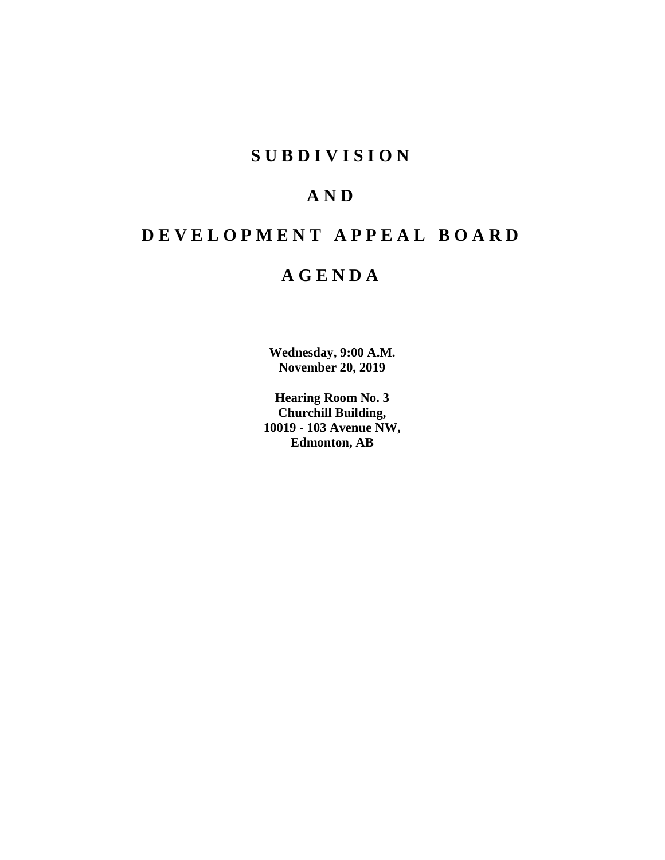# **SUBDIVISION**

# **AND**

# **DEVELOPMENT APPEAL BOARD**

# **AGENDA**

**Wednesday, 9:00 A.M. November 20, 2019**

**Hearing Room No. 3 Churchill Building, 10019 - 103 Avenue NW, Edmonton, AB**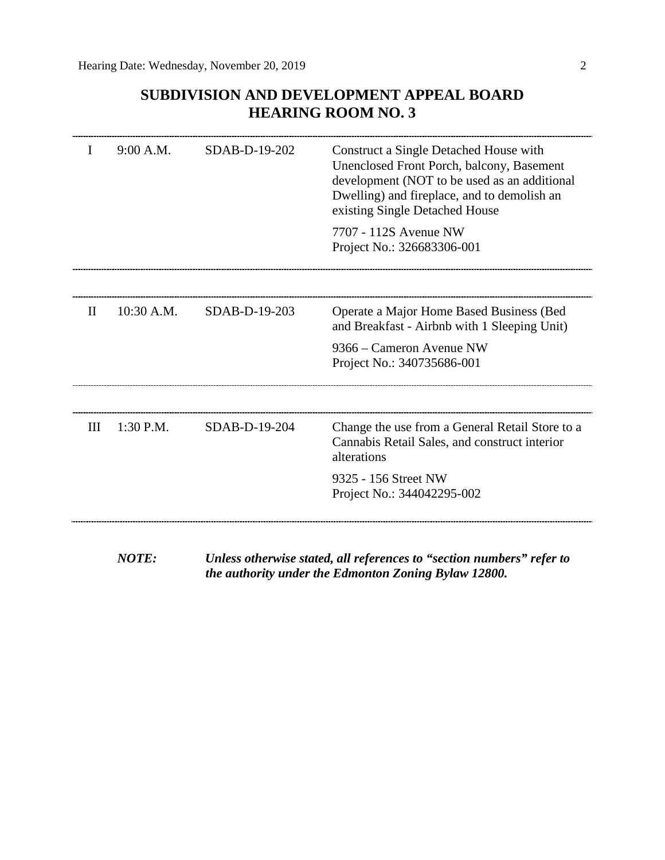# **SUBDIVISION AND DEVELOPMENT APPEAL BOARD HEARING ROOM NO. 3**

|              | 9:00 A.M.  | SDAB-D-19-202 | Construct a Single Detached House with<br>Unenclosed Front Porch, balcony, Basement<br>development (NOT to be used as an additional<br>Dwelling) and fireplace, and to demolish an<br>existing Single Detached House<br>7707 - 112S Avenue NW |
|--------------|------------|---------------|-----------------------------------------------------------------------------------------------------------------------------------------------------------------------------------------------------------------------------------------------|
|              |            |               | Project No.: 326683306-001                                                                                                                                                                                                                    |
| $\mathbf{H}$ | 10:30 A.M. | SDAB-D-19-203 | Operate a Major Home Based Business (Bed<br>and Breakfast - Airbnb with 1 Sleeping Unit)                                                                                                                                                      |
|              |            |               | 9366 – Cameron Avenue NW<br>Project No.: 340735686-001                                                                                                                                                                                        |
| III          | 1:30 P.M.  | SDAB-D-19-204 | Change the use from a General Retail Store to a<br>Cannabis Retail Sales, and construct interior<br>alterations                                                                                                                               |
|              |            |               | 9325 - 156 Street NW<br>Project No.: 344042295-002                                                                                                                                                                                            |
|              |            |               |                                                                                                                                                                                                                                               |

*NOTE: Unless otherwise stated, all references to "section numbers" refer to the authority under the Edmonton Zoning Bylaw 12800.*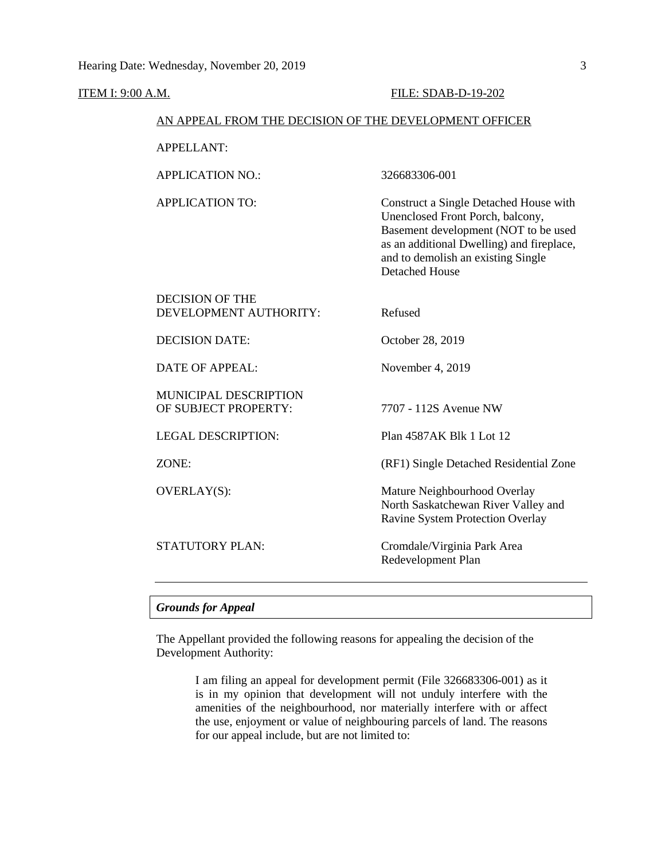#### ITEM I: 9:00 A.M. **FILE: SDAB-D-19-202**

#### AN APPEAL FROM THE DECISION OF THE DEVELOPMENT OFFICER

| <b>APPELLANT:</b> |  |
|-------------------|--|
|                   |  |

APPLICATION NO.: 326683306-001

APPLICATION TO: Construct a Single Detached House with Unenclosed Front Porch, balcony, Basement development (NOT to be used as an additional Dwelling) and fireplace, and to demolish an existing Single Detached House

| STATUTORY PLAN:                                  | Cromdale/Virginia Park Area                                                                             |
|--------------------------------------------------|---------------------------------------------------------------------------------------------------------|
| OVERLAY(S):                                      | Mature Neighbourhood Overlay<br>North Saskatchewan River Valley and<br>Ravine System Protection Overlay |
| ZONE:                                            | (RF1) Single Detached Residential Zone                                                                  |
| <b>LEGAL DESCRIPTION:</b>                        | Plan 4587AK Blk 1 Lot 12                                                                                |
| MUNICIPAL DESCRIPTION<br>OF SUBJECT PROPERTY:    | 7707 - 112S Avenue NW                                                                                   |
| <b>DATE OF APPEAL:</b>                           | November 4, 2019                                                                                        |
| <b>DECISION DATE:</b>                            | October 28, 2019                                                                                        |
| <b>DECISION OF THE</b><br>DEVELOPMENT AUTHORITY: | Refused                                                                                                 |

# *Grounds for Appeal*

The Appellant provided the following reasons for appealing the decision of the Development Authority:

> I am filing an appeal for development permit (File 326683306-001) as it is in my opinion that development will not unduly interfere with the amenities of the neighbourhood, nor materially interfere with or affect the use, enjoyment or value of neighbouring parcels of land. The reasons for our appeal include, but are not limited to: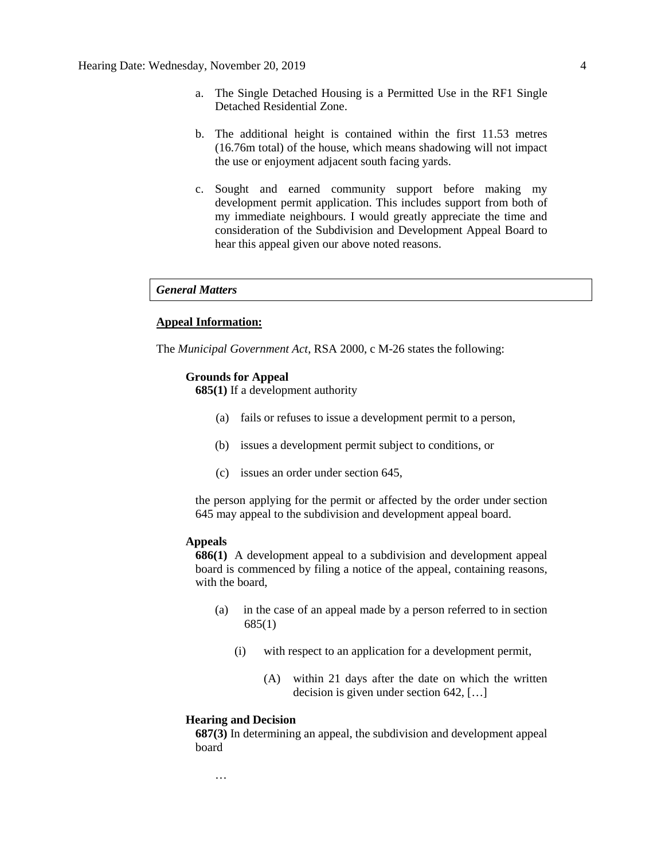- a. The Single Detached Housing is a Permitted Use in the RF1 Single Detached Residential Zone.
- b. The additional height is contained within the first 11.53 metres (16.76m total) of the house, which means shadowing will not impact the use or enjoyment adjacent south facing yards.
- c. Sought and earned community support before making my development permit application. This includes support from both of my immediate neighbours. I would greatly appreciate the time and consideration of the Subdivision and Development Appeal Board to hear this appeal given our above noted reasons.

*General Matters*

# **Appeal Information:**

The *Municipal Government Act*, RSA 2000, c M-26 states the following:

#### **Grounds for Appeal**

**685(1)** If a development authority

- (a) fails or refuses to issue a development permit to a person,
- (b) issues a development permit subject to conditions, or
- (c) issues an order under section 645,

the person applying for the permit or affected by the order under section 645 may appeal to the subdivision and development appeal board.

#### **Appeals**

**686(1)** A development appeal to a subdivision and development appeal board is commenced by filing a notice of the appeal, containing reasons, with the board,

- (a) in the case of an appeal made by a person referred to in section 685(1)
	- (i) with respect to an application for a development permit,
		- (A) within 21 days after the date on which the written decision is given under section 642, […]

#### **Hearing and Decision**

…

**687(3)** In determining an appeal, the subdivision and development appeal board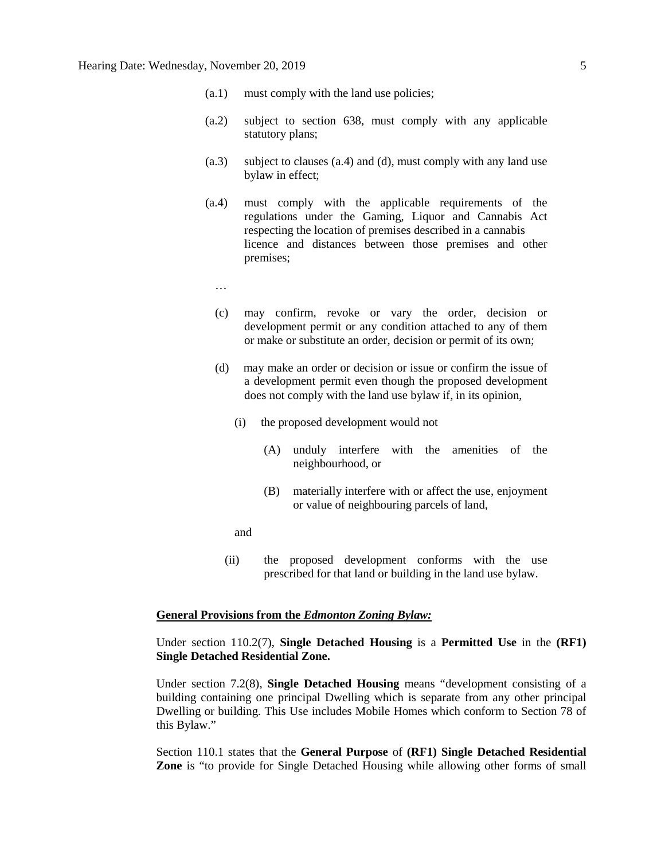- (a.1) must comply with the land use policies;
- (a.2) subject to section 638, must comply with any applicable statutory plans;
- (a.3) subject to clauses (a.4) and (d), must comply with any land use bylaw in effect;
- (a.4) must comply with the applicable requirements of the regulations under the Gaming, Liquor and Cannabis Act respecting the location of premises described in a cannabis licence and distances between those premises and other premises;
	- …
	- (c) may confirm, revoke or vary the order, decision or development permit or any condition attached to any of them or make or substitute an order, decision or permit of its own;
	- (d) may make an order or decision or issue or confirm the issue of a development permit even though the proposed development does not comply with the land use bylaw if, in its opinion,
		- (i) the proposed development would not
			- (A) unduly interfere with the amenities of the neighbourhood, or
			- (B) materially interfere with or affect the use, enjoyment or value of neighbouring parcels of land,

and

(ii) the proposed development conforms with the use prescribed for that land or building in the land use bylaw.

# **General Provisions from the** *Edmonton Zoning Bylaw:*

Under section 110.2(7), **Single Detached Housing** is a **Permitted Use** in the **(RF1) Single Detached Residential Zone.** 

Under section 7.2(8), **Single Detached Housing** means "development consisting of a building containing one principal Dwelling which is separate from any other principal Dwelling or building. This Use includes Mobile Homes which conform to Section 78 of this Bylaw."

Section 110.1 states that the **General Purpose** of **(RF1) Single Detached Residential Zone** is "to provide for Single Detached Housing while allowing other forms of small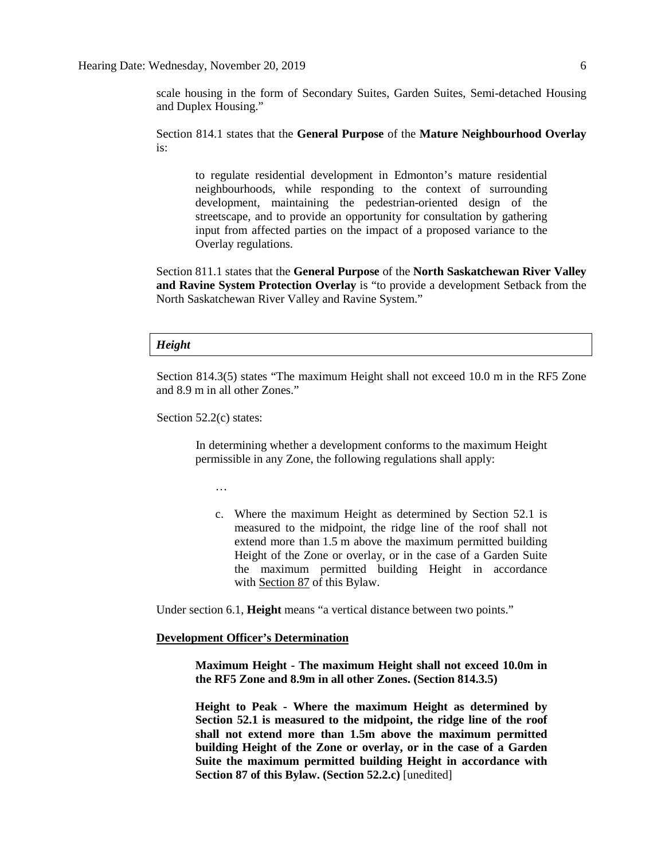scale housing in the form of Secondary Suites, Garden Suites, Semi-detached Housing and Duplex Housing."

Section 814.1 states that the **General Purpose** of the **Mature Neighbourhood Overlay** is:

to regulate residential development in Edmonton's mature residential neighbourhoods, while responding to the context of surrounding development, maintaining the pedestrian-oriented design of the streetscape, and to provide an opportunity for consultation by gathering input from affected parties on the impact of a proposed variance to the Overlay regulations.

Section 811.1 states that the **General Purpose** of the **North Saskatchewan River Valley and Ravine System Protection Overlay** is "to provide a development Setback from the North Saskatchewan River Valley and Ravine System."

#### *Height*

Section 814.3(5) states "The maximum Height shall not exceed 10.0 m in the RF5 Zone and 8.9 m in all other Zones."

Section 52.2(c) states:

In determining whether a development conforms to the maximum Height permissible in any Zone, the following regulations shall apply:

…

c. Where the maximum Height as determined by Section 52.1 is measured to the midpoint, the ridge line of the roof shall not extend more than [1.5](javascript:void(0);) m above the maximum permitted building Height of the Zone or overlay, or in the case of a Garden Suite the maximum permitted building Height in accordance with [Section 87](http://webdocs.edmonton.ca/InfraPlan/zoningbylaw/ZoningBylaw/Part1/Special_Land/87_Garage_and_Garden_Suites.htm) of this Bylaw.

Under section 6.1, **Height** means "a vertical distance between two points."

#### **Development Officer's Determination**

**Maximum Height - The maximum Height shall not exceed 10.0m in the RF5 Zone and 8.9m in all other Zones. (Section 814.3.5)**

**Height to Peak - Where the maximum Height as determined by Section 52.1 is measured to the midpoint, the ridge line of the roof shall not extend more than 1.5m above the maximum permitted building Height of the Zone or overlay, or in the case of a Garden Suite the maximum permitted building Height in accordance with Section 87 of this Bylaw. (Section 52.2.c)** [unedited]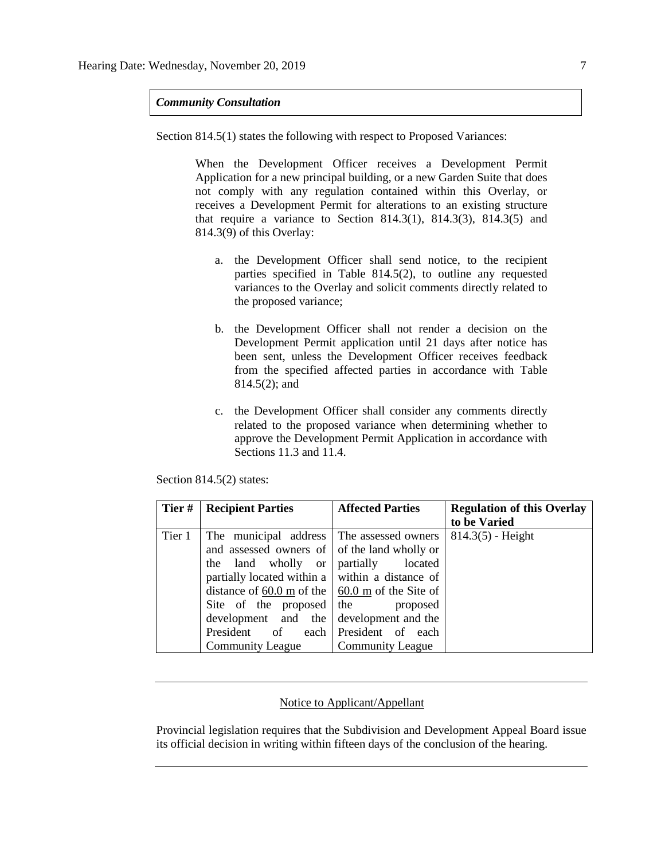*Community Consultation*

Section 814.5(1) states the following with respect to Proposed Variances:

When the Development Officer receives a Development Permit Application for a new principal building, or a new Garden Suite that does not comply with any regulation contained within this Overlay, or receives a Development Permit for alterations to an existing structure that require a variance to Section 814.3(1), 814.3(3), 814.3(5) and 814.3(9) of this Overlay:

- a. the Development Officer shall send notice, to the recipient parties specified in Table 814.5(2), to outline any requested variances to the Overlay and solicit comments directly related to the proposed variance;
- b. the Development Officer shall not render a decision on the Development Permit application until 21 days after notice has been sent, unless the Development Officer receives feedback from the specified affected parties in accordance with Table 814.5(2); and
- c. the Development Officer shall consider any comments directly related to the proposed variance when determining whether to approve the Development Permit Application in accordance with Sections 11.3 and 11.4.

Section 814.5(2) states:

| Tier#  | <b>Recipient Parties</b>                                | <b>Affected Parties</b> | <b>Regulation of this Overlay</b> |
|--------|---------------------------------------------------------|-------------------------|-----------------------------------|
|        |                                                         |                         | to be Varied                      |
| Tier 1 | The municipal address The assessed owners               |                         | $814.3(5)$ - Height               |
|        | and assessed owners of of the land wholly or            |                         |                                   |
|        | land wholly or<br>the                                   | partially<br>located    |                                   |
|        | partially located within a $\vert$ within a distance of |                         |                                   |
|        | distance of 60.0 m of the $\vert$ 60.0 m of the Site of |                         |                                   |
|        | Site of the proposed                                    | the<br>proposed         |                                   |
|        | development and the                                     | development and the     |                                   |
|        | President<br>of<br>each                                 | President of each       |                                   |
|        | <b>Community League</b>                                 | <b>Community League</b> |                                   |

### Notice to Applicant/Appellant

Provincial legislation requires that the Subdivision and Development Appeal Board issue its official decision in writing within fifteen days of the conclusion of the hearing.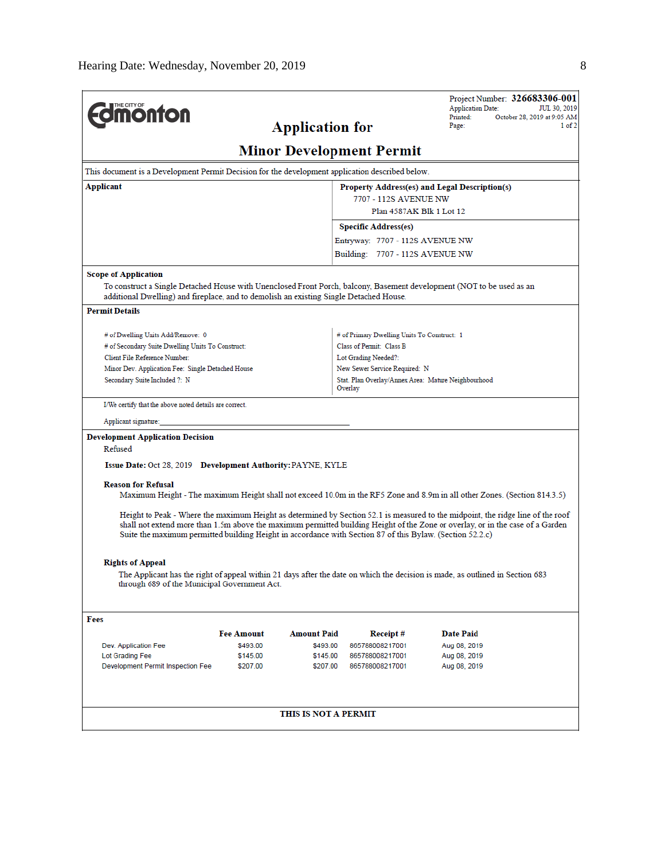|                                                                                                           |                   |                        |                                                                | Project Number: 326683306-001<br><b>Application Date:</b><br>JUL 30, 2019                                                       |
|-----------------------------------------------------------------------------------------------------------|-------------------|------------------------|----------------------------------------------------------------|---------------------------------------------------------------------------------------------------------------------------------|
| <b>monton</b>                                                                                             |                   | <b>Application for</b> |                                                                | Printed:<br>October 28, 2019 at 9:05 AM<br>Page:<br>1 of 2                                                                      |
|                                                                                                           |                   |                        | <b>Minor Development Permit</b>                                |                                                                                                                                 |
| This document is a Development Permit Decision for the development application described below.           |                   |                        |                                                                |                                                                                                                                 |
| Applicant                                                                                                 |                   |                        |                                                                | Property Address(es) and Legal Description(s)                                                                                   |
|                                                                                                           |                   |                        | 7707 - 112S AVENUE NW                                          |                                                                                                                                 |
|                                                                                                           |                   |                        | Plan 4587AK Blk 1 Lot 12                                       |                                                                                                                                 |
|                                                                                                           |                   |                        | <b>Specific Address(es)</b>                                    |                                                                                                                                 |
|                                                                                                           |                   |                        | Entryway: 7707 - 112S AVENUE NW                                |                                                                                                                                 |
|                                                                                                           |                   |                        | Building: 7707 - 112S AVENUE NW                                |                                                                                                                                 |
| <b>Scope of Application</b>                                                                               |                   |                        |                                                                |                                                                                                                                 |
| additional Dwelling) and fireplace, and to demolish an existing Single Detached House.                    |                   |                        |                                                                | To construct a Single Detached House with Unenclosed Front Porch, balcony, Basement development (NOT to be used as an           |
| <b>Permit Details</b>                                                                                     |                   |                        |                                                                |                                                                                                                                 |
| # of Dwelling Units Add/Remove: 0                                                                         |                   |                        | # of Primary Dwelling Units To Construct: 1                    |                                                                                                                                 |
| # of Secondary Suite Dwelling Units To Construct:                                                         |                   |                        | Class of Permit: Class B                                       |                                                                                                                                 |
| Client File Reference Number:                                                                             |                   |                        | Lot Grading Needed?:                                           |                                                                                                                                 |
| Minor Dev. Application Fee: Single Detached House                                                         |                   |                        | New Sewer Service Required: N                                  |                                                                                                                                 |
| Secondary Suite Included ?: N                                                                             |                   |                        | Stat. Plan Overlay/Annex Area: Mature Neighbourhood<br>Overlay |                                                                                                                                 |
| I/We certify that the above noted details are correct.                                                    |                   |                        |                                                                |                                                                                                                                 |
| Applicant signature:                                                                                      |                   |                        |                                                                |                                                                                                                                 |
| <b>Development Application Decision</b>                                                                   |                   |                        |                                                                |                                                                                                                                 |
| Refused                                                                                                   |                   |                        |                                                                |                                                                                                                                 |
| Issue Date: Oct 28, 2019 Development Authority: PAYNE, KYLE                                               |                   |                        |                                                                |                                                                                                                                 |
| <b>Reason for Refusal</b>                                                                                 |                   |                        |                                                                |                                                                                                                                 |
|                                                                                                           |                   |                        |                                                                | Maximum Height - The maximum Height shall not exceed 10.0m in the RF5 Zone and 8.9m in all other Zones. (Section 814.3.5)       |
|                                                                                                           |                   |                        |                                                                | Height to Peak - Where the maximum Height as determined by Section 52.1 is measured to the midpoint, the ridge line of the roof |
| Suite the maximum permitted building Height in accordance with Section 87 of this Bylaw. (Section 52.2.c) |                   |                        |                                                                | shall not extend more than 1.5m above the maximum permitted building Height of the Zone or overlay, or in the case of a Garden  |
|                                                                                                           |                   |                        |                                                                |                                                                                                                                 |
| <b>Rights of Appeal</b>                                                                                   |                   |                        |                                                                |                                                                                                                                 |
|                                                                                                           |                   |                        |                                                                | The Applicant has the right of appeal within 21 days after the date on which the decision is made, as outlined in Section 683   |
| through 689 of the Municipal Government Act.                                                              |                   |                        |                                                                |                                                                                                                                 |
| Fees                                                                                                      |                   |                        |                                                                |                                                                                                                                 |
|                                                                                                           | <b>Fee Amount</b> | <b>Amount Paid</b>     | Receipt#                                                       | <b>Date Paid</b>                                                                                                                |
| Dev. Application Fee                                                                                      | \$493.00          | \$493.00               | 865788008217001                                                | Aug 08, 2019                                                                                                                    |
| Lot Grading Fee                                                                                           | \$145.00          | \$145.00               | 865788008217001                                                | Aug 08, 2019                                                                                                                    |
| Development Permit Inspection Fee                                                                         | \$207.00          | \$207.00               | 865788008217001                                                | Aug 08, 2019                                                                                                                    |
|                                                                                                           |                   | THIS IS NOT A PERMIT   |                                                                |                                                                                                                                 |
|                                                                                                           |                   |                        |                                                                |                                                                                                                                 |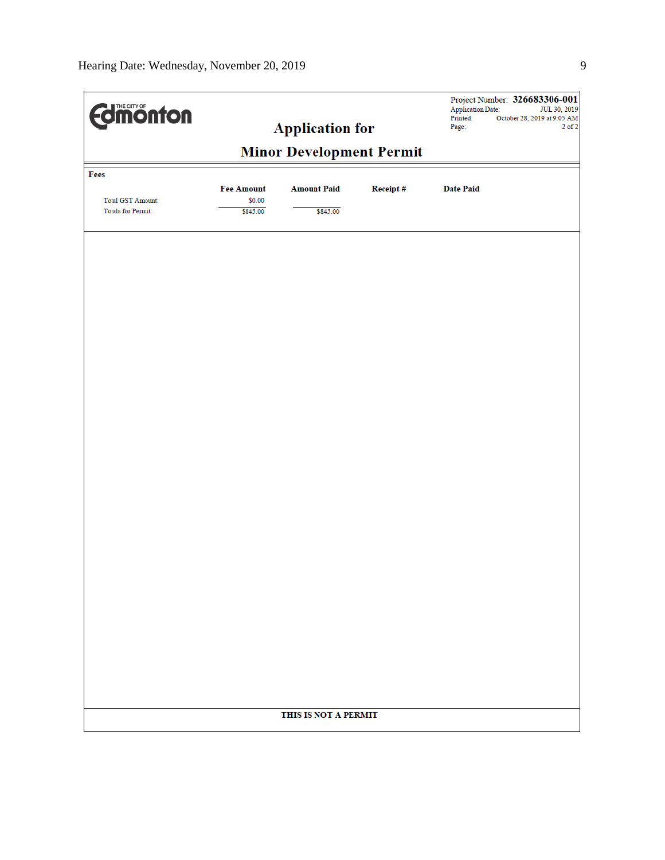| <b>difficution</b>       |                             |                      |          | <b>Application Date:</b><br>Printed: | Project Number: 326683306-001<br>JUL 30, 2019<br>October 28, 2019 at 9:05 AM |
|--------------------------|-----------------------------|----------------------|----------|--------------------------------------|------------------------------------------------------------------------------|
| <b>Application for</b>   |                             |                      | Page:    | $2$ of $2$                           |                                                                              |
|                          |                             |                      |          |                                      |                                                                              |
| Fees                     |                             |                      |          |                                      |                                                                              |
| <b>Total GST Amount:</b> | <b>Fee Amount</b><br>\$0.00 | <b>Amount Paid</b>   | Receipt# | <b>Date Paid</b>                     |                                                                              |
| Totals for Permit:       | \$845.00                    | \$845.00             |          |                                      |                                                                              |
|                          |                             |                      |          |                                      |                                                                              |
|                          |                             |                      |          |                                      |                                                                              |
|                          |                             |                      |          |                                      |                                                                              |
|                          |                             |                      |          |                                      |                                                                              |
|                          |                             |                      |          |                                      |                                                                              |
|                          |                             |                      |          |                                      |                                                                              |
|                          |                             |                      |          |                                      |                                                                              |
|                          |                             |                      |          |                                      |                                                                              |
|                          |                             |                      |          |                                      |                                                                              |
|                          |                             |                      |          |                                      |                                                                              |
|                          |                             |                      |          |                                      |                                                                              |
|                          |                             |                      |          |                                      |                                                                              |
|                          |                             |                      |          |                                      |                                                                              |
|                          |                             |                      |          |                                      |                                                                              |
|                          |                             |                      |          |                                      |                                                                              |
|                          |                             |                      |          |                                      |                                                                              |
|                          |                             |                      |          |                                      |                                                                              |
|                          |                             |                      |          |                                      |                                                                              |
|                          |                             |                      |          |                                      |                                                                              |
|                          |                             |                      |          |                                      |                                                                              |
|                          |                             |                      |          |                                      |                                                                              |
|                          |                             |                      |          |                                      |                                                                              |
|                          |                             | THIS IS NOT A PERMIT |          |                                      |                                                                              |
|                          |                             |                      |          |                                      |                                                                              |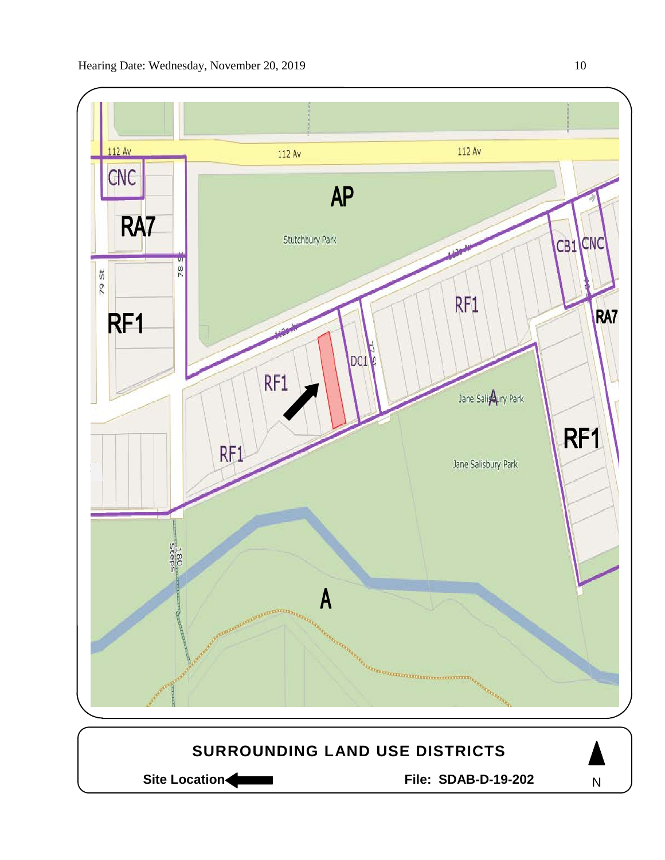

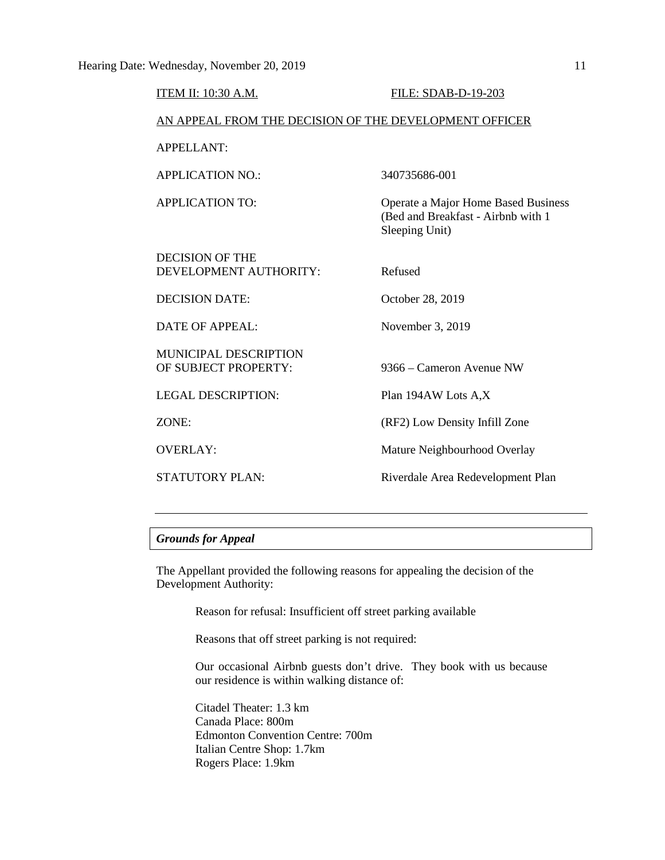| <b>ITEM II: 10:30 A.M.</b>                             | FILE: SDAB-D-19-203                                                                         |  |  |  |
|--------------------------------------------------------|---------------------------------------------------------------------------------------------|--|--|--|
| AN APPEAL FROM THE DECISION OF THE DEVELOPMENT OFFICER |                                                                                             |  |  |  |
| <b>APPELLANT:</b>                                      |                                                                                             |  |  |  |
| <b>APPLICATION NO.:</b>                                | 340735686-001                                                                               |  |  |  |
| <b>APPLICATION TO:</b>                                 | Operate a Major Home Based Business<br>(Bed and Breakfast - Airbnb with 1<br>Sleeping Unit) |  |  |  |
| <b>DECISION OF THE</b><br>DEVELOPMENT AUTHORITY:       | Refused                                                                                     |  |  |  |
| <b>DECISION DATE:</b>                                  | October 28, 2019                                                                            |  |  |  |
| DATE OF APPEAL:                                        | November 3, 2019                                                                            |  |  |  |
| MUNICIPAL DESCRIPTION<br>OF SUBJECT PROPERTY:          | 9366 – Cameron Avenue NW                                                                    |  |  |  |
| <b>LEGAL DESCRIPTION:</b>                              | Plan 194AW Lots A,X                                                                         |  |  |  |
| ZONE:                                                  | (RF2) Low Density Infill Zone                                                               |  |  |  |
| <b>OVERLAY:</b>                                        | Mature Neighbourhood Overlay                                                                |  |  |  |
| <b>STATUTORY PLAN:</b>                                 | Riverdale Area Redevelopment Plan                                                           |  |  |  |

# *Grounds for Appeal*

The Appellant provided the following reasons for appealing the decision of the Development Authority:

Reason for refusal: Insufficient off street parking available

Reasons that off street parking is not required:

Our occasional Airbnb guests don't drive. They book with us because our residence is within walking distance of:

Citadel Theater: 1.3 km Canada Place: 800m Edmonton Convention Centre: 700m Italian Centre Shop: 1.7km Rogers Place: 1.9km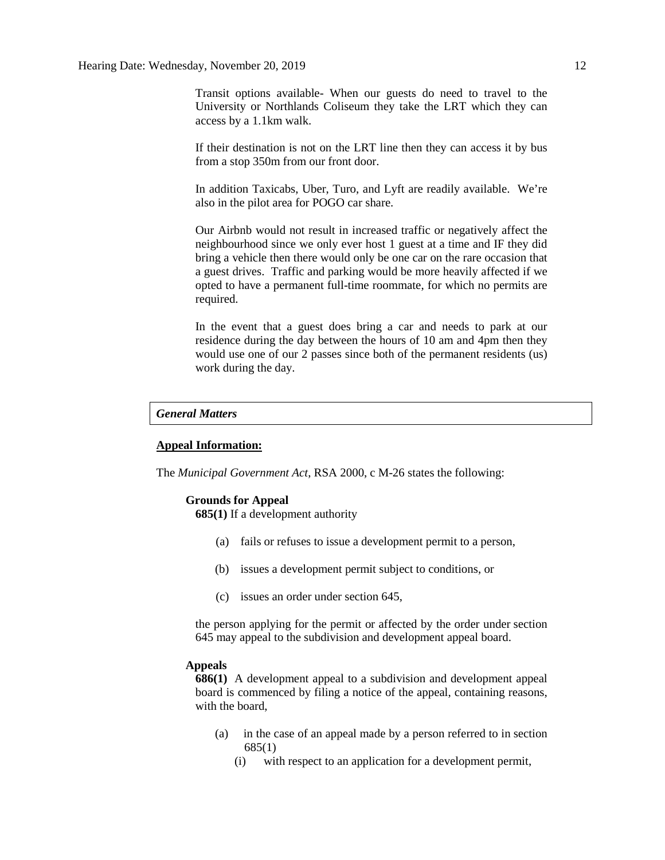Transit options available- When our guests do need to travel to the University or Northlands Coliseum they take the LRT which they can access by a 1.1km walk.

If their destination is not on the LRT line then they can access it by bus from a stop 350m from our front door.

In addition Taxicabs, Uber, Turo, and Lyft are readily available. We're also in the pilot area for POGO car share.

Our Airbnb would not result in increased traffic or negatively affect the neighbourhood since we only ever host 1 guest at a time and IF they did bring a vehicle then there would only be one car on the rare occasion that a guest drives. Traffic and parking would be more heavily affected if we opted to have a permanent full-time roommate, for which no permits are required.

In the event that a guest does bring a car and needs to park at our residence during the day between the hours of 10 am and 4pm then they would use one of our 2 passes since both of the permanent residents (us) work during the day.

# *General Matters*

### **Appeal Information:**

The *Municipal Government Act*, RSA 2000, c M-26 states the following:

#### **Grounds for Appeal**

**685(1)** If a development authority

- (a) fails or refuses to issue a development permit to a person,
- (b) issues a development permit subject to conditions, or
- (c) issues an order under section 645,

the person applying for the permit or affected by the order under section 645 may appeal to the subdivision and development appeal board.

#### **Appeals**

**686(1)** A development appeal to a subdivision and development appeal board is commenced by filing a notice of the appeal, containing reasons, with the board,

- (a) in the case of an appeal made by a person referred to in section 685(1)
	- (i) with respect to an application for a development permit,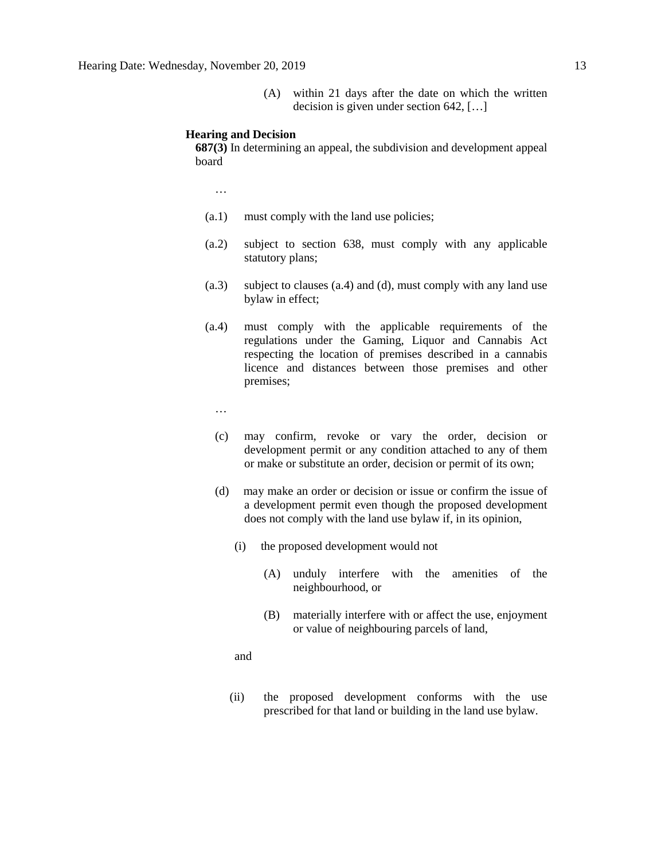(A) within 21 days after the date on which the written decision is given under section 642, […]

#### **Hearing and Decision**

**687(3)** In determining an appeal, the subdivision and development appeal board

…

- (a.1) must comply with the land use policies;
- (a.2) subject to section 638, must comply with any applicable statutory plans;
- (a.3) subject to clauses (a.4) and (d), must comply with any land use bylaw in effect;
- (a.4) must comply with the applicable requirements of the regulations under the Gaming, Liquor and Cannabis Act respecting the location of premises described in a cannabis licence and distances between those premises and other premises;
	- …
	- (c) may confirm, revoke or vary the order, decision or development permit or any condition attached to any of them or make or substitute an order, decision or permit of its own;
	- (d) may make an order or decision or issue or confirm the issue of a development permit even though the proposed development does not comply with the land use bylaw if, in its opinion,
		- (i) the proposed development would not
			- (A) unduly interfere with the amenities of the neighbourhood, or
			- (B) materially interfere with or affect the use, enjoyment or value of neighbouring parcels of land,

and

(ii) the proposed development conforms with the use prescribed for that land or building in the land use bylaw.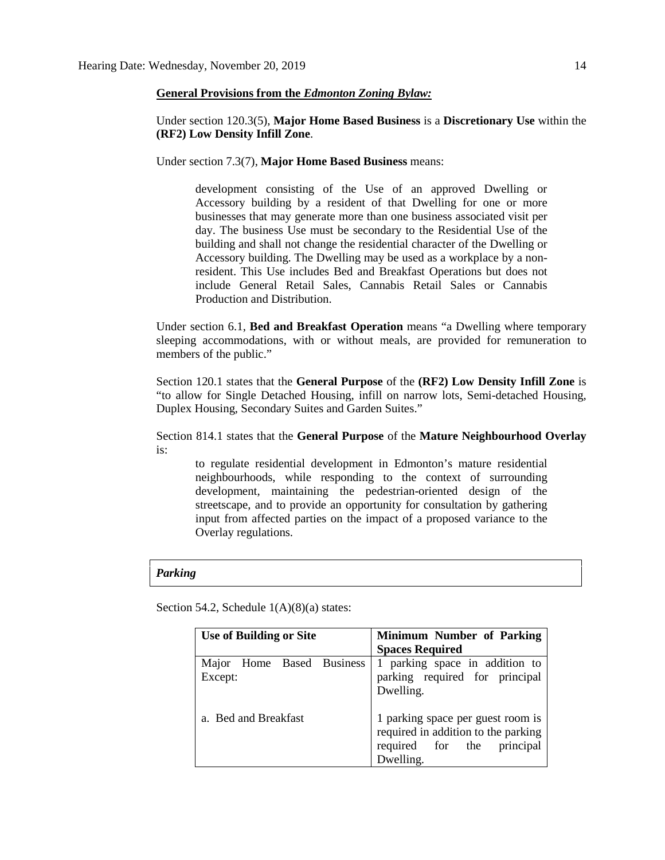### **General Provisions from the** *Edmonton Zoning Bylaw:*

Under section 120.3(5), **Major Home Based Business** is a **Discretionary Use** within the **(RF2) Low Density Infill Zone**.

Under section 7.3(7), **Major Home Based Business** means:

development consisting of the Use of an approved Dwelling or Accessory building by a resident of that Dwelling for one or more businesses that may generate more than one business associated visit per day. The business Use must be secondary to the Residential Use of the building and shall not change the residential character of the Dwelling or Accessory building. The Dwelling may be used as a workplace by a nonresident. This Use includes Bed and Breakfast Operations but does not include General Retail Sales, Cannabis Retail Sales or Cannabis Production and Distribution.

Under section 6.1, **Bed and Breakfast Operation** means "a Dwelling where temporary sleeping accommodations, with or without meals, are provided for remuneration to members of the public."

Section 120.1 states that the **General Purpose** of the **(RF2) Low Density Infill Zone** is "to allow for Single Detached Housing, infill on narrow lots, Semi-detached Housing, Duplex Housing, Secondary Suites and Garden Suites."

Section 814.1 states that the **General Purpose** of the **Mature Neighbourhood Overlay** is:

to regulate residential development in Edmonton's mature residential neighbourhoods, while responding to the context of surrounding development, maintaining the pedestrian-oriented design of the streetscape, and to provide an opportunity for consultation by gathering input from affected parties on the impact of a proposed variance to the Overlay regulations.

#### *Parking*

Section 54.2, Schedule  $1(A)(8)(a)$  states:

| <b>Use of Building or Site</b>       | <b>Minimum Number of Parking</b>                                                                                       |
|--------------------------------------|------------------------------------------------------------------------------------------------------------------------|
|                                      | <b>Spaces Required</b>                                                                                                 |
| Major Home Based Business<br>Except: | 1 parking space in addition to<br>parking required for principal<br>Dwelling.                                          |
| a. Bed and Breakfast                 | 1 parking space per guest room is<br>required in addition to the parking<br>required for the<br>principal<br>Dwelling. |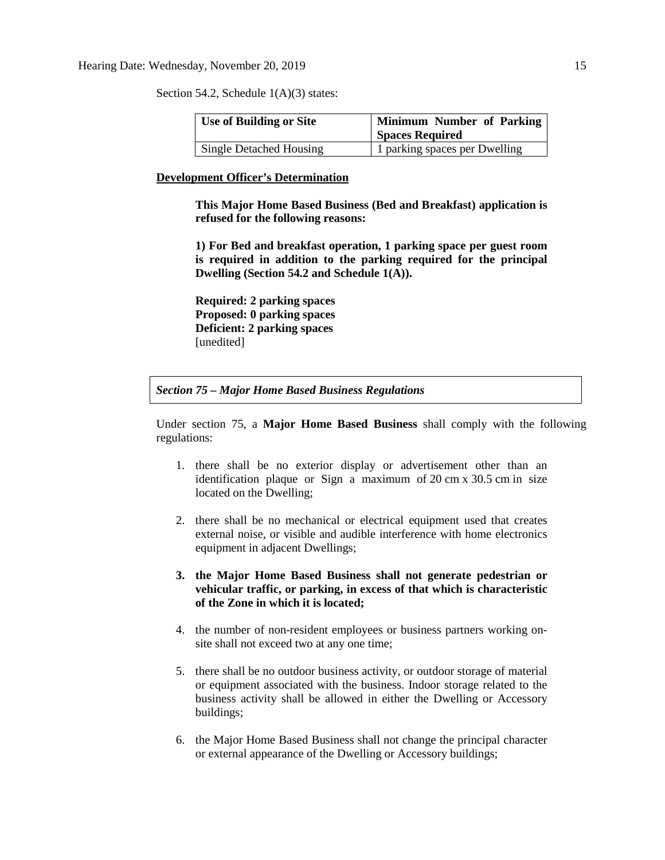Section 54.2, Schedule 1(A)(3) states:

| <b>Use of Building or Site</b> | Minimum Number of Parking<br><b>Spaces Required</b> |
|--------------------------------|-----------------------------------------------------|
| Single Detached Housing        | 1 parking spaces per Dwelling                       |

#### **Development Officer's Determination**

**This Major Home Based Business (Bed and Breakfast) application is refused for the following reasons:**

**1) For Bed and breakfast operation, 1 parking space per guest room is required in addition to the parking required for the principal Dwelling (Section 54.2 and Schedule 1(A)).**

**Required: 2 parking spaces Proposed: 0 parking spaces Deficient: 2 parking spaces** [unedited]

*Section 75 – Major Home Based Business Regulations*

Under section 75, a **Major Home Based Business** shall comply with the following regulations:

- 1. there shall be no exterior display or advertisement other than an identification plaque or Sign a maximum of 20 cm x 30.5 cm in size located on the Dwelling;
- 2. there shall be no mechanical or electrical equipment used that creates external noise, or visible and audible interference with home electronics equipment in adjacent Dwellings;
- **3. the Major Home Based Business shall not generate pedestrian or vehicular traffic, or parking, in excess of that which is characteristic of the Zone in which it is located;**
- 4. the number of non-resident employees or business partners working onsite shall not exceed two at any one time;
- 5. there shall be no outdoor business activity, or outdoor storage of material or equipment associated with the business. Indoor storage related to the business activity shall be allowed in either the Dwelling or Accessory buildings;
- 6. the Major Home Based Business shall not change the principal character or external appearance of the Dwelling or Accessory buildings;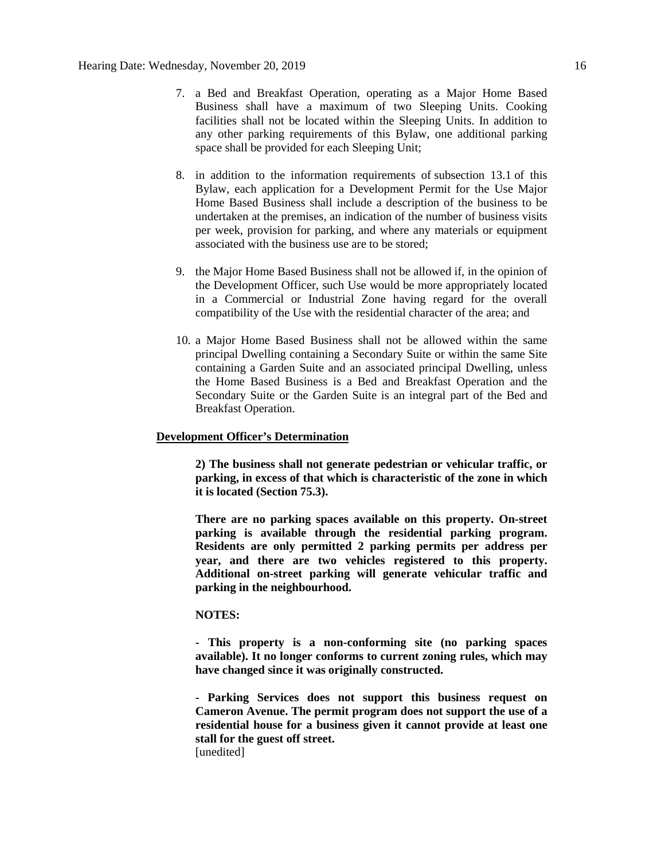- 7. a Bed and Breakfast Operation, operating as a Major Home Based Business shall have a maximum of two Sleeping Units. Cooking facilities shall not be located within the Sleeping Units. In addition to any other parking requirements of this Bylaw, one additional parking space shall be provided for each Sleeping Unit;
- 8. in addition to the information requirements of subsection 13.1 of this Bylaw, each application for a Development Permit for the Use Major Home Based Business shall include a description of the business to be undertaken at the premises, an indication of the number of business visits per week, provision for parking, and where any materials or equipment associated with the business use are to be stored;
- 9. the Major Home Based Business shall not be allowed if, in the opinion of the Development Officer, such Use would be more appropriately located in a Commercial or Industrial Zone having regard for the overall compatibility of the Use with the residential character of the area; and
- 10. a Major Home Based Business shall not be allowed within the same principal Dwelling containing a Secondary Suite or within the same Site containing a Garden Suite and an associated principal Dwelling, unless the Home Based Business is a Bed and Breakfast Operation and the Secondary Suite or the Garden Suite is an integral part of the Bed and Breakfast Operation.

## **Development Officer's Determination**

**2) The business shall not generate pedestrian or vehicular traffic, or parking, in excess of that which is characteristic of the zone in which it is located (Section 75.3).**

**There are no parking spaces available on this property. On-street parking is available through the residential parking program. Residents are only permitted 2 parking permits per address per year, and there are two vehicles registered to this property. Additional on-street parking will generate vehicular traffic and parking in the neighbourhood.**

# **NOTES:**

**- This property is a non-conforming site (no parking spaces available). It no longer conforms to current zoning rules, which may have changed since it was originally constructed.**

**- Parking Services does not support this business request on Cameron Avenue. The permit program does not support the use of a residential house for a business given it cannot provide at least one stall for the guest off street.** [unedited]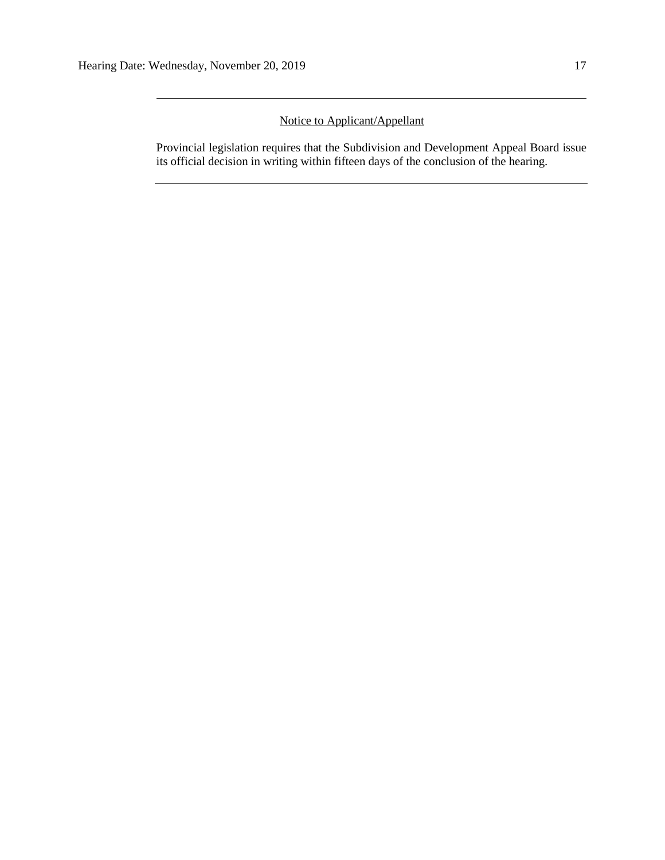# Notice to Applicant/Appellant

Provincial legislation requires that the Subdivision and Development Appeal Board issue its official decision in writing within fifteen days of the conclusion of the hearing.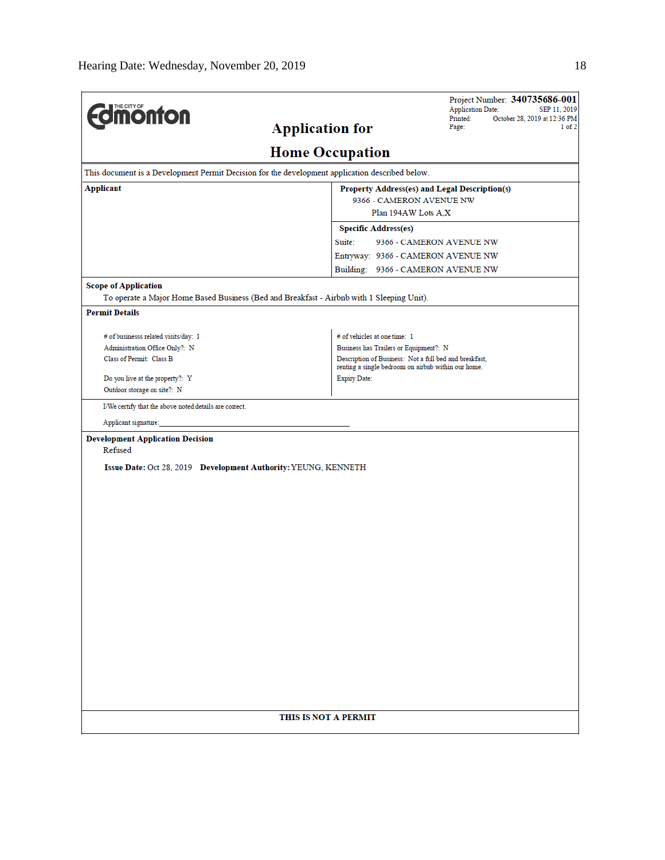| <b>monton</b>                                                     |                                                                                                               | Project Number: 340735686-001<br><b>Application Date:</b><br>SEP 11, 2019 |  |
|-------------------------------------------------------------------|---------------------------------------------------------------------------------------------------------------|---------------------------------------------------------------------------|--|
|                                                                   | <b>Application for</b>                                                                                        | Printed:<br>October 28, 2019 at 12:36 PM<br>Page:<br>$1$ of $2$           |  |
|                                                                   | <b>Home Occupation</b>                                                                                        |                                                                           |  |
|                                                                   | This document is a Development Permit Decision for the development application described below.               |                                                                           |  |
| <b>Applicant</b><br>Property Address(es) and Legal Description(s) |                                                                                                               |                                                                           |  |
|                                                                   | 9366 - CAMERON AVENUE NW                                                                                      |                                                                           |  |
|                                                                   | Plan 194AW Lots A.X                                                                                           |                                                                           |  |
|                                                                   | <b>Specific Address(es)</b>                                                                                   |                                                                           |  |
|                                                                   | Suite:                                                                                                        | 9366 - CAMERON AVENUE NW                                                  |  |
|                                                                   | Entryway: 9366 - CAMERON AVENUE NW                                                                            |                                                                           |  |
|                                                                   | Building: 9366 - CAMERON AVENUE NW                                                                            |                                                                           |  |
| <b>Scope of Application</b>                                       |                                                                                                               |                                                                           |  |
| <b>Permit Details</b>                                             | To operate a Major Home Based Business (Bed and Breakfast - Airbnb with 1 Sleeping Unit).                     |                                                                           |  |
|                                                                   |                                                                                                               |                                                                           |  |
| # of businesss related visits/day: 1                              | # of vehicles at one time: 1                                                                                  |                                                                           |  |
| Administration Office Only?: N<br>Class of Permit: Class B        | Business has Trailers or Equipment?: N                                                                        |                                                                           |  |
|                                                                   | Description of Business: Not a full bed and breakfast,<br>renting a single bedroom on airbnb within our home. |                                                                           |  |
| Do you live at the property?: Y                                   | <b>Expiry Date:</b>                                                                                           |                                                                           |  |
| Outdoor storage on site?: N                                       |                                                                                                               |                                                                           |  |
| I/We certify that the above noted details are correct.            |                                                                                                               |                                                                           |  |
| Applicant signature:                                              |                                                                                                               |                                                                           |  |
| <b>Development Application Decision</b><br>Refused                |                                                                                                               |                                                                           |  |
| Issue Date: Oct 28, 2019 Development Authority: YEUNG, KENNETH    |                                                                                                               |                                                                           |  |
|                                                                   |                                                                                                               |                                                                           |  |
|                                                                   |                                                                                                               |                                                                           |  |
|                                                                   |                                                                                                               |                                                                           |  |
|                                                                   |                                                                                                               |                                                                           |  |
|                                                                   |                                                                                                               |                                                                           |  |
|                                                                   |                                                                                                               |                                                                           |  |
|                                                                   |                                                                                                               |                                                                           |  |
|                                                                   |                                                                                                               |                                                                           |  |
|                                                                   |                                                                                                               |                                                                           |  |
|                                                                   |                                                                                                               |                                                                           |  |
|                                                                   |                                                                                                               |                                                                           |  |
|                                                                   |                                                                                                               |                                                                           |  |
|                                                                   |                                                                                                               |                                                                           |  |
|                                                                   |                                                                                                               |                                                                           |  |
|                                                                   |                                                                                                               |                                                                           |  |
|                                                                   |                                                                                                               |                                                                           |  |
|                                                                   |                                                                                                               |                                                                           |  |
|                                                                   | THIS IS NOT A PERMIT                                                                                          |                                                                           |  |
|                                                                   |                                                                                                               |                                                                           |  |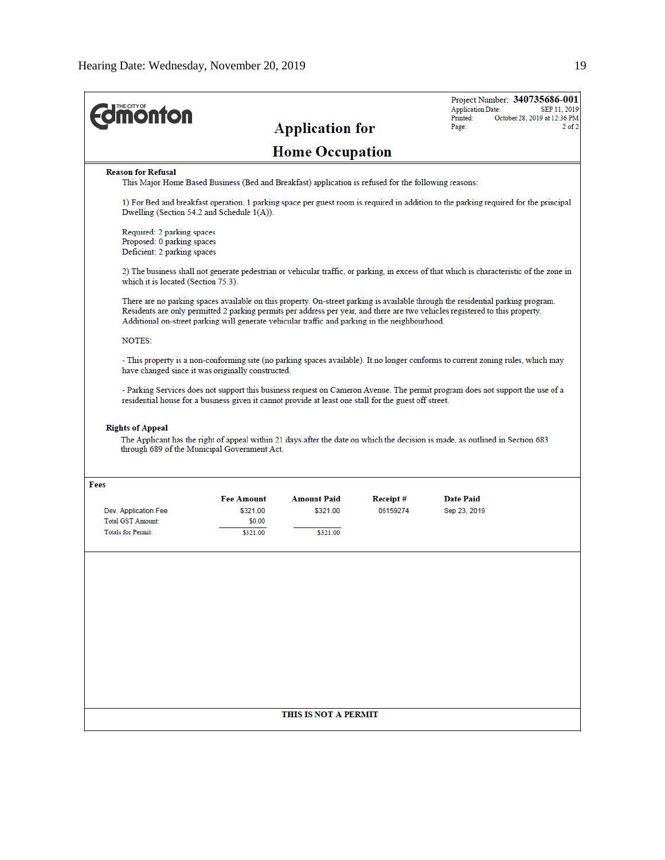| <b><i><u><b>M</b>önton</u></i></b>                                                      |                                                                                                                                                       | <b>Application for</b> |                      | Project Number: 340735686-001<br><b>Application Date:</b><br>SEP 11, 2019<br>October 28, 2019 at 12:36 PM<br>Printed:<br>$2$ of $2$<br>Page:                                                                                                                      |
|-----------------------------------------------------------------------------------------|-------------------------------------------------------------------------------------------------------------------------------------------------------|------------------------|----------------------|-------------------------------------------------------------------------------------------------------------------------------------------------------------------------------------------------------------------------------------------------------------------|
|                                                                                         |                                                                                                                                                       | <b>Home Occupation</b> |                      |                                                                                                                                                                                                                                                                   |
| <b>Reason for Refusal</b>                                                               | This Major Home Based Business (Bed and Breakfast) application is refused for the following reasons:                                                  |                        |                      |                                                                                                                                                                                                                                                                   |
|                                                                                         | Dwelling (Section 54.2 and Schedule $1(A)$ ).                                                                                                         |                        |                      | 1) For Bed and breakfast operation, 1 parking space per guest room is required in addition to the parking required for the principal                                                                                                                              |
| Required: 2 parking spaces<br>Proposed: 0 parking spaces<br>Deficient: 2 parking spaces |                                                                                                                                                       |                        |                      |                                                                                                                                                                                                                                                                   |
| which it is located (Section 75.3).                                                     |                                                                                                                                                       |                        |                      | 2) The business shall not generate pedestrian or vehicular traffic, or parking, in excess of that which is characteristic of the zone in                                                                                                                          |
|                                                                                         | Additional on-street parking will generate vehicular traffic and parking in the neighbourhood.                                                        |                        |                      | There are no parking spaces available on this property. On-street parking is available through the residential parking program.<br>Residents are only permitted 2 parking permits per address per year, and there are two vehicles registered to this property.   |
| <b>NOTES:</b>                                                                           |                                                                                                                                                       |                        |                      |                                                                                                                                                                                                                                                                   |
|                                                                                         | have changed since it was originally constructed.                                                                                                     |                        |                      | - This property is a non-conforming site (no parking spaces available). It no longer conforms to current zoning rules, which may<br>- Parking Services does not support this business request on Cameron Avenue. The permit program does not support the use of a |
| <b>Rights of Appeal</b>                                                                 | residential house for a business given it cannot provide at least one stall for the guest off street.<br>through 689 of the Municipal Government Act. |                        |                      | The Applicant has the right of appeal within 21 days after the date on which the decision is made, as outlined in Section 683                                                                                                                                     |
| Fees                                                                                    | <b>Fee Amount</b>                                                                                                                                     | <b>Amount Paid</b>     |                      | <b>Date Paid</b>                                                                                                                                                                                                                                                  |
| Dev. Application Fee<br><b>Total GST Amount:</b>                                        | \$321.00                                                                                                                                              | \$321.00               | Receipt#<br>06159274 | Sep 23, 2019                                                                                                                                                                                                                                                      |
| <b>Totals for Permit:</b>                                                               | \$0.00<br>\$321.00                                                                                                                                    | \$321.00               |                      |                                                                                                                                                                                                                                                                   |
|                                                                                         |                                                                                                                                                       |                        |                      |                                                                                                                                                                                                                                                                   |
|                                                                                         |                                                                                                                                                       |                        |                      |                                                                                                                                                                                                                                                                   |
|                                                                                         |                                                                                                                                                       | THIS IS NOT A PERMIT   |                      |                                                                                                                                                                                                                                                                   |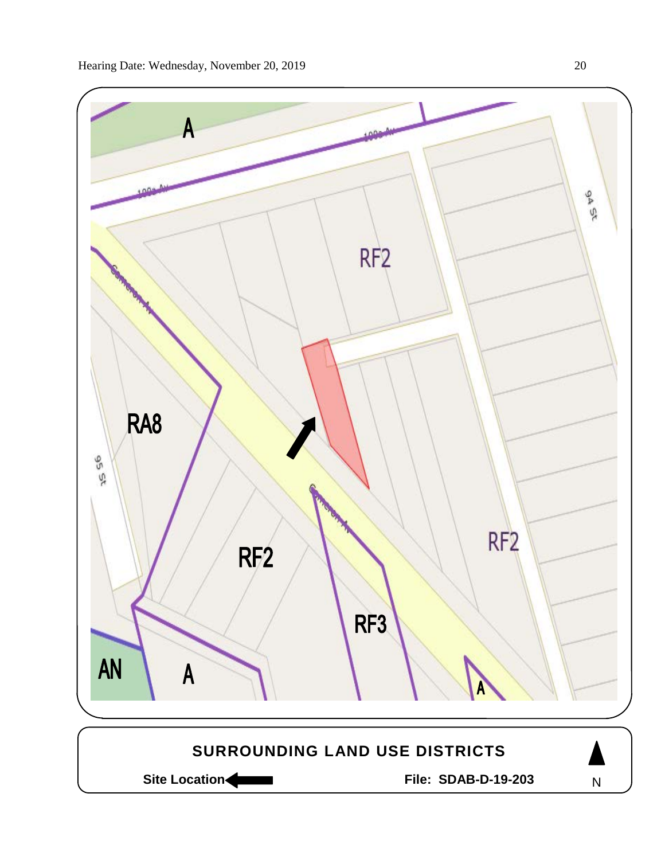

Site Location **Community Contracts** File: SDAB-D-19-203

N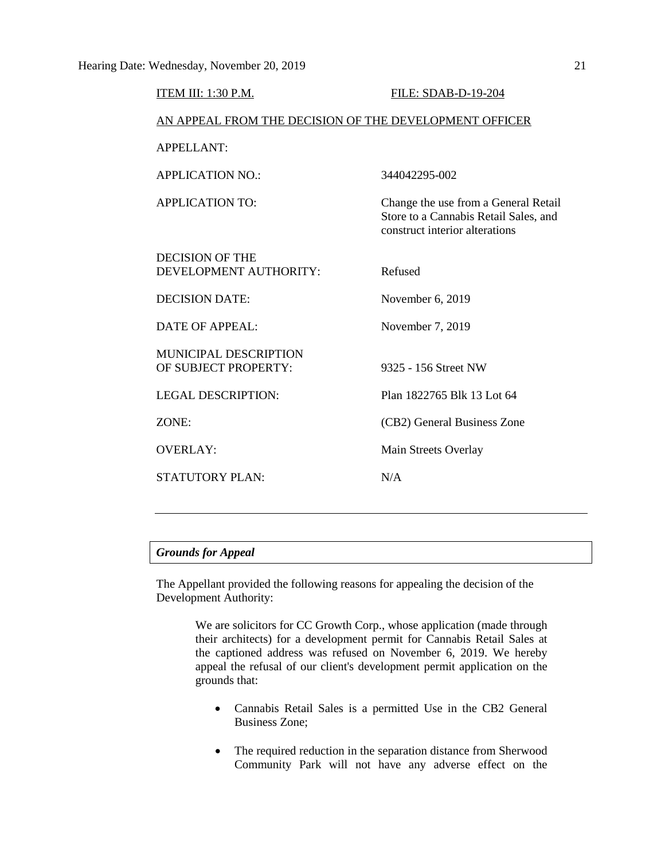| ITEM III: 1:30 P.M.                                    | FILE: SDAB-D-19-204                                                                                             |  |  |  |
|--------------------------------------------------------|-----------------------------------------------------------------------------------------------------------------|--|--|--|
| AN APPEAL FROM THE DECISION OF THE DEVELOPMENT OFFICER |                                                                                                                 |  |  |  |
| APPELLANT:                                             |                                                                                                                 |  |  |  |
| <b>APPLICATION NO.:</b>                                | 344042295-002                                                                                                   |  |  |  |
| <b>APPLICATION TO:</b>                                 | Change the use from a General Retail<br>Store to a Cannabis Retail Sales, and<br>construct interior alterations |  |  |  |
| <b>DECISION OF THE</b><br>DEVELOPMENT AUTHORITY:       | Refused                                                                                                         |  |  |  |
| <b>DECISION DATE:</b>                                  | November 6, 2019                                                                                                |  |  |  |
| <b>DATE OF APPEAL:</b>                                 | November 7, 2019                                                                                                |  |  |  |
| <b>MUNICIPAL DESCRIPTION</b><br>OF SUBJECT PROPERTY:   | 9325 - 156 Street NW                                                                                            |  |  |  |
| <b>LEGAL DESCRIPTION:</b>                              | Plan 1822765 Blk 13 Lot 64                                                                                      |  |  |  |
| ZONE:                                                  | (CB2) General Business Zone                                                                                     |  |  |  |
| <b>OVERLAY:</b>                                        | Main Streets Overlay                                                                                            |  |  |  |
| <b>STATUTORY PLAN:</b>                                 | N/A                                                                                                             |  |  |  |
|                                                        |                                                                                                                 |  |  |  |

# *Grounds for Appeal*

The Appellant provided the following reasons for appealing the decision of the Development Authority:

> We are solicitors for CC Growth Corp., whose application (made through their architects) for a development permit for Cannabis Retail Sales at the captioned address was refused on November 6, 2019. We hereby appeal the refusal of our client's development permit application on the grounds that:

- Cannabis Retail Sales is a permitted Use in the CB2 General Business Zone;
- The required reduction in the separation distance from Sherwood Community Park will not have any adverse effect on the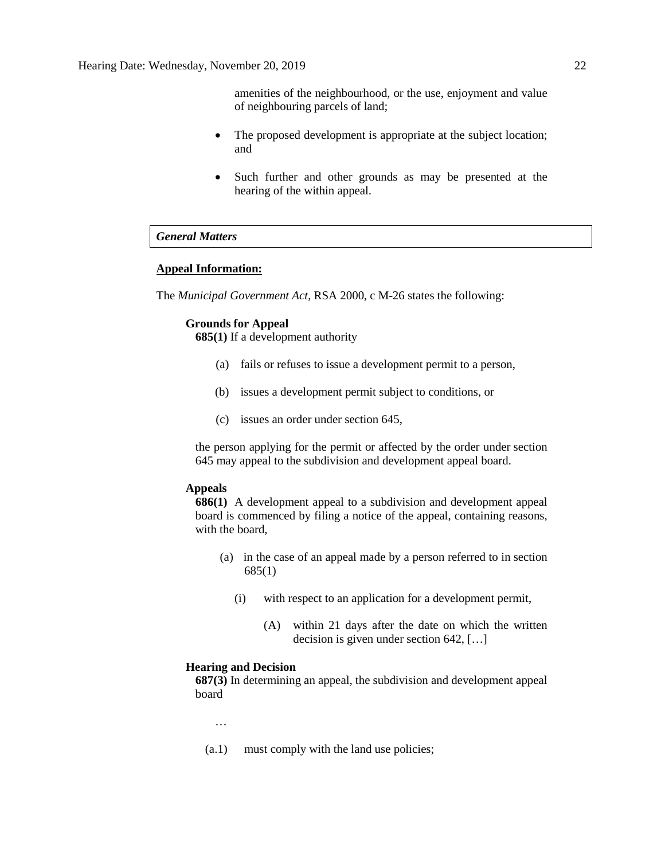amenities of the neighbourhood, or the use, enjoyment and value of neighbouring parcels of land;

- The proposed development is appropriate at the subject location; and
- Such further and other grounds as may be presented at the hearing of the within appeal.

# *General Matters*

# **Appeal Information:**

The *Municipal Government Act*, RSA 2000, c M-26 states the following:

#### **Grounds for Appeal**

**685(1)** If a development authority

- (a) fails or refuses to issue a development permit to a person,
- (b) issues a development permit subject to conditions, or
- (c) issues an order under section 645,

the person applying for the permit or affected by the order under section 645 may appeal to the subdivision and development appeal board.

#### **Appeals**

**686(1)** A development appeal to a subdivision and development appeal board is commenced by filing a notice of the appeal, containing reasons, with the board,

- (a) in the case of an appeal made by a person referred to in section 685(1)
	- (i) with respect to an application for a development permit,
		- (A) within 21 days after the date on which the written decision is given under section 642, […]

#### **Hearing and Decision**

**687(3)** In determining an appeal, the subdivision and development appeal board

…

(a.1) must comply with the land use policies;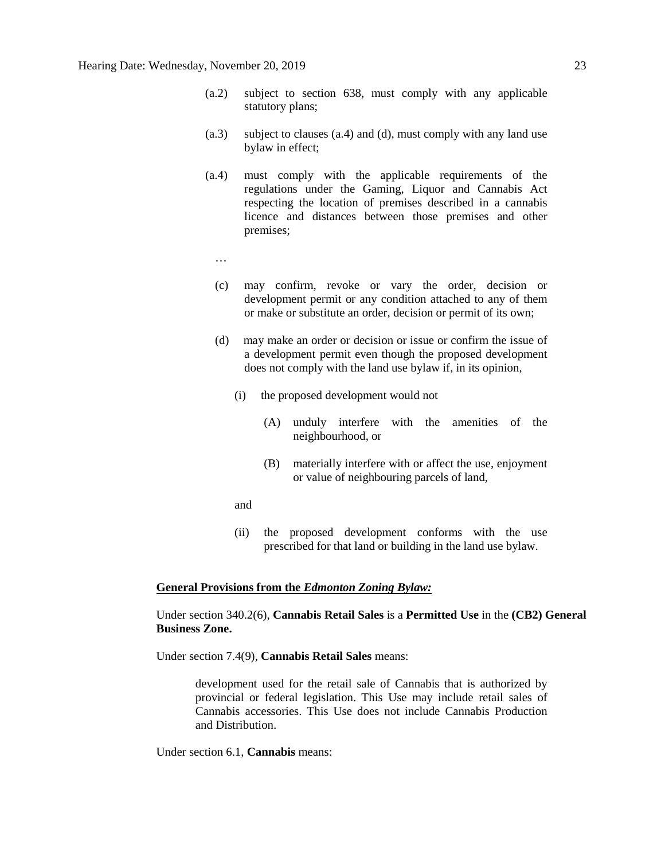- (a.2) subject to section 638, must comply with any applicable statutory plans;
- (a.3) subject to clauses (a.4) and (d), must comply with any land use bylaw in effect;
- (a.4) must comply with the applicable requirements of the regulations under the Gaming, Liquor and Cannabis Act respecting the location of premises described in a cannabis licence and distances between those premises and other premises;
	- …
	- (c) may confirm, revoke or vary the order, decision or development permit or any condition attached to any of them or make or substitute an order, decision or permit of its own;
	- (d) may make an order or decision or issue or confirm the issue of a development permit even though the proposed development does not comply with the land use bylaw if, in its opinion,
		- (i) the proposed development would not
			- (A) unduly interfere with the amenities of the neighbourhood, or
			- (B) materially interfere with or affect the use, enjoyment or value of neighbouring parcels of land,
		- and
		- (ii) the proposed development conforms with the use prescribed for that land or building in the land use bylaw.

#### **General Provisions from the** *Edmonton Zoning Bylaw:*

Under section 340.2(6), **Cannabis Retail Sales** is a **Permitted Use** in the **(CB2) General Business Zone.**

Under section 7.4(9), **Cannabis Retail Sales** means:

development used for the retail sale of Cannabis that is authorized by provincial or federal legislation. This Use may include retail sales of Cannabis accessories. This Use does not include Cannabis Production and Distribution.

Under section 6.1, **Cannabis** means: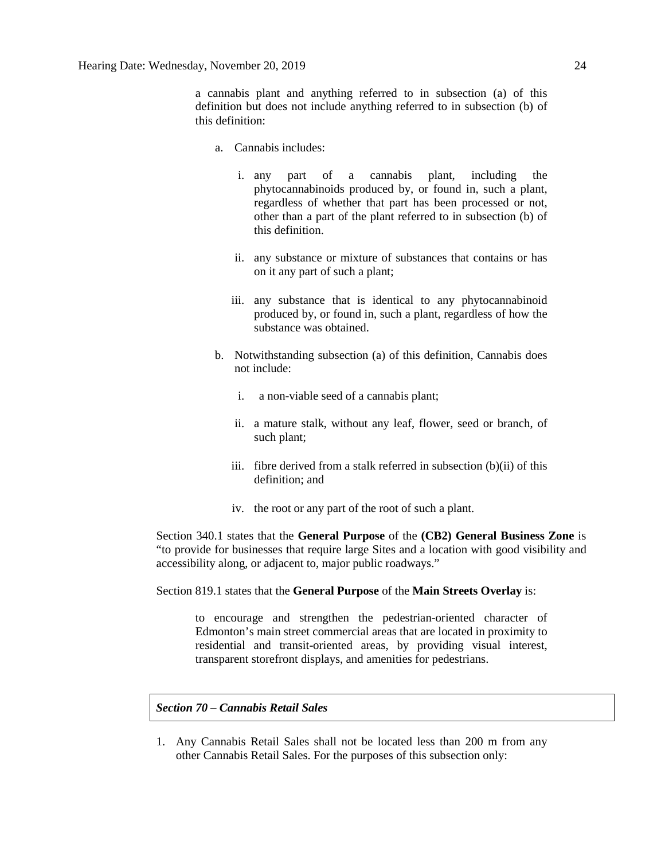a cannabis plant and anything referred to in subsection (a) of this definition but does not include anything referred to in subsection (b) of this definition:

- a. Cannabis includes:
	- i. any part of a cannabis plant, including the phytocannabinoids produced by, or found in, such a plant, regardless of whether that part has been processed or not, other than a part of the plant referred to in subsection (b) of this definition.
	- ii. any substance or mixture of substances that contains or has on it any part of such a plant;
	- iii. any substance that is identical to any phytocannabinoid produced by, or found in, such a plant, regardless of how the substance was obtained.
- b. Notwithstanding subsection (a) of this definition, Cannabis does not include:
	- i. a non-viable seed of a cannabis plant;
	- ii. a mature stalk, without any leaf, flower, seed or branch, of such plant;
	- iii. fibre derived from a stalk referred in subsection (b)(ii) of this definition; and
	- iv. the root or any part of the root of such a plant.

Section 340.1 states that the **General Purpose** of the **(CB2) General Business Zone** is "to provide for businesses that require large Sites and a location with good visibility and accessibility along, or adjacent to, major public roadways."

Section 819.1 states that the **General Purpose** of the **Main Streets Overlay** is:

to encourage and strengthen the pedestrian-oriented character of Edmonton's main street commercial areas that are located in proximity to residential and transit-oriented areas, by providing visual interest, transparent storefront displays, and amenities for pedestrians.

# *Section 70 – Cannabis Retail Sales*

1. Any Cannabis Retail Sales shall not be located less than 200 m from any other Cannabis Retail Sales. For the purposes of this subsection only: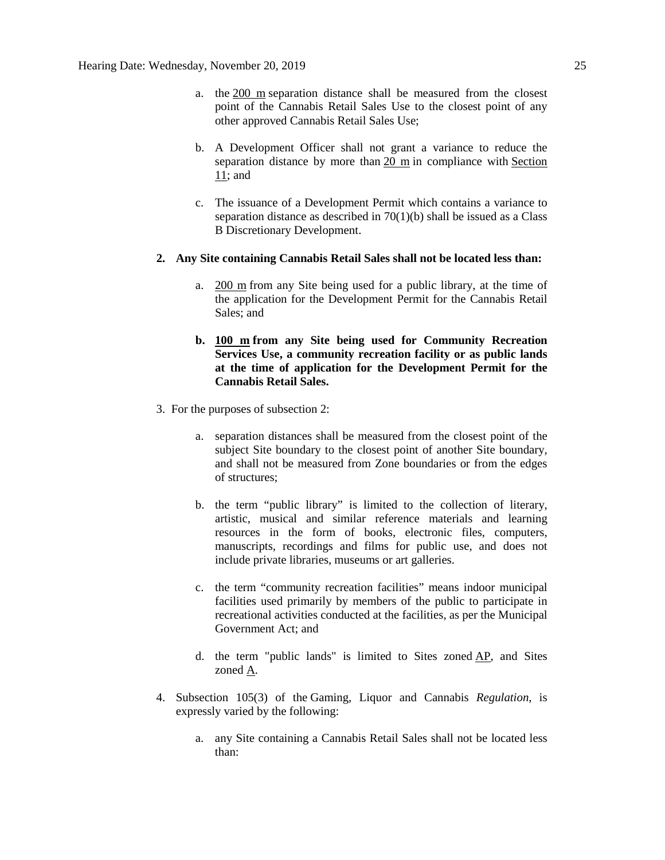- a. the [200 m](javascript:void(0);) separation distance shall be measured from the closest point of the Cannabis Retail Sales Use to the closest point of any other approved Cannabis Retail Sales Use;
- b. A Development Officer shall not grant a variance to reduce the separation distance by more than [20 m](javascript:void(0);) in compliance with [Section](https://webdocs.edmonton.ca/InfraPlan/zoningbylaw/ZoningBylaw/Part1/Administrative/11__Authority_and_Responsibility_of_the_Development_Officer.htm)  [11;](https://webdocs.edmonton.ca/InfraPlan/zoningbylaw/ZoningBylaw/Part1/Administrative/11__Authority_and_Responsibility_of_the_Development_Officer.htm) and
- c. The issuance of a Development Permit which contains a variance to separation distance as described in  $70(1)(b)$  shall be issued as a Class B Discretionary Development.

#### **2. Any Site containing Cannabis Retail Sales shall not be located less than:**

- a.  $200 \text{ m}$  from any Site being used for a public library, at the time of the application for the Development Permit for the Cannabis Retail Sales; and
- **b. [100 m](javascript:void(0);) from any Site being used for Community Recreation Services Use, a community recreation facility or as public lands at the time of application for the Development Permit for the Cannabis Retail Sales.**
- 3. For the purposes of subsection 2:
	- a. separation distances shall be measured from the closest point of the subject Site boundary to the closest point of another Site boundary, and shall not be measured from Zone boundaries or from the edges of structures;
	- b. the term "public library" is limited to the collection of literary, artistic, musical and similar reference materials and learning resources in the form of books, electronic files, computers, manuscripts, recordings and films for public use, and does not include private libraries, museums or art galleries.
	- c. the term "community recreation facilities" means indoor municipal facilities used primarily by members of the public to participate in recreational activities conducted at the facilities, as per the Municipal Government Act; and
	- d. the term "public lands" is limited to Sites zoned [AP,](https://webdocs.edmonton.ca/InfraPlan/zoningbylaw/ZoningBylaw/Part2/Urban/530_(AP)_Public_Parks_Zone.htm) and Sites zoned [A.](https://webdocs.edmonton.ca/InfraPlan/zoningbylaw/ZoningBylaw/Part2/Urban/540_(A)_Metropolitan_Recreation_Zone.htm)
- 4. Subsection 105(3) of the Gaming, Liquor and Cannabis *Regulation*, is expressly varied by the following:
	- a. any Site containing a Cannabis Retail Sales shall not be located less than: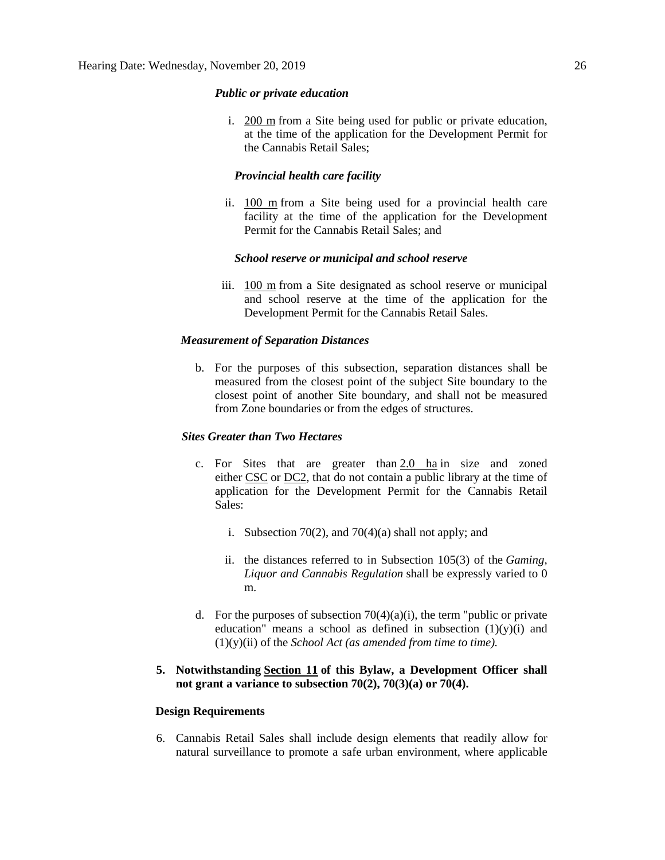#### *Public or private education*

i. [200 m](javascript:void(0);) from a Site being used for public or private education, at the time of the application for the Development Permit for the Cannabis Retail Sales;

# *Provincial health care facility*

ii. [100 m](javascript:void(0);) from a Site being used for a provincial health care facility at the time of the application for the Development Permit for the Cannabis Retail Sales; and

#### *School reserve or municipal and school reserve*

iii. [100 m](javascript:void(0);) from a Site designated as school reserve or municipal and school reserve at the time of the application for the Development Permit for the Cannabis Retail Sales.

#### *Measurement of Separation Distances*

b. For the purposes of this subsection, separation distances shall be measured from the closest point of the subject Site boundary to the closest point of another Site boundary, and shall not be measured from Zone boundaries or from the edges of structures.

# *Sites Greater than Two Hectares*

- c. For Sites that are greater than [2.0 ha](https://webdocs.edmonton.ca/InfraPlan/zoningbylaw/ZoningBylaw/Measurements/ih2.htm) in size and zoned either [CSC](https://webdocs.edmonton.ca/InfraPlan/zoningbylaw/ZoningBylaw/Part2/Commercial/320_(CSC)_Shopping_Centre_Zone.htm) or [DC2,](https://webdocs.edmonton.ca/InfraPlan/zoningbylaw/ZoningBylaw/Part2/Direct/720_(DC2)_Site_Specific_Development_Control_Provision.htm) that do not contain a public library at the time of application for the Development Permit for the Cannabis Retail Sales:
	- i. Subsection 70(2), and 70(4)(a) shall not apply; and
	- ii. the distances referred to in Subsection 105(3) of the *Gaming, Liquor and Cannabis Regulation* shall be expressly varied to 0 m.
- d. For the purposes of subsection  $70(4)(a)(i)$ , the term "public or private education" means a school as defined in subsection  $(1)(y)(i)$  and (1)(y)(ii) of the *School Act (as amended from time to time).*

# **5. Notwithstanding [Section 11](https://webdocs.edmonton.ca/InfraPlan/zoningbylaw/ZoningBylaw/Part1/Administrative/11__Authority_and_Responsibility_of_the_Development_Officer.htm) of this Bylaw, a Development Officer shall not grant a variance to subsection 70(2), 70(3)(a) or 70(4).**

#### **Design Requirements**

6. Cannabis Retail Sales shall include design elements that readily allow for natural surveillance to promote a safe urban environment, where applicable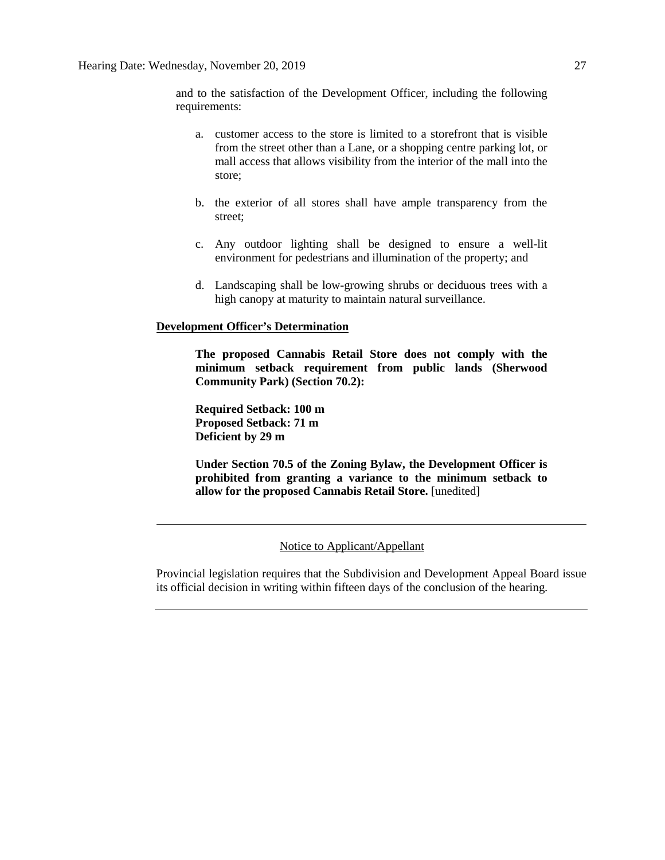and to the satisfaction of the Development Officer, including the following requirements:

- a. customer access to the store is limited to a storefront that is visible from the street other than a Lane, or a shopping centre parking lot, or mall access that allows visibility from the interior of the mall into the store;
- b. the exterior of all stores shall have ample transparency from the street;
- c. Any outdoor lighting shall be designed to ensure a well-lit environment for pedestrians and illumination of the property; and
- d. Landscaping shall be low-growing shrubs or deciduous trees with a high canopy at maturity to maintain natural surveillance.

#### **Development Officer's Determination**

**The proposed Cannabis Retail Store does not comply with the minimum setback requirement from public lands (Sherwood Community Park) (Section 70.2):**

**Required Setback: 100 m Proposed Setback: 71 m Deficient by 29 m**

**Under Section 70.5 of the Zoning Bylaw, the Development Officer is prohibited from granting a variance to the minimum setback to allow for the proposed Cannabis Retail Store.** [unedited]

#### Notice to Applicant/Appellant

Provincial legislation requires that the Subdivision and Development Appeal Board issue its official decision in writing within fifteen days of the conclusion of the hearing.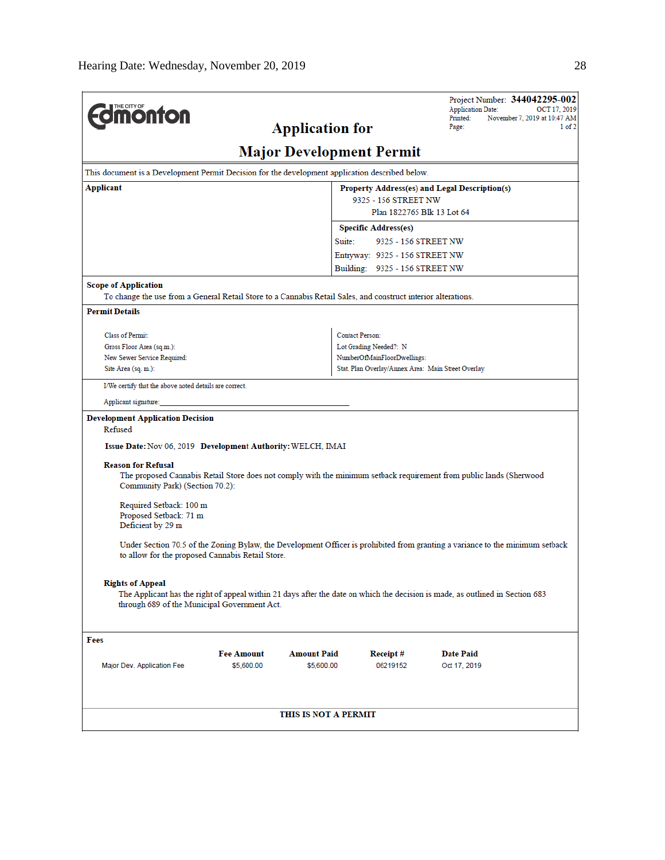|                                                                                                                                                               |                                                             |                                                           |                                | Project Number: 344042295-002<br><b>Application Date:</b><br>OCT 17, 2019                                                     |  |  |  |  |
|---------------------------------------------------------------------------------------------------------------------------------------------------------------|-------------------------------------------------------------|-----------------------------------------------------------|--------------------------------|-------------------------------------------------------------------------------------------------------------------------------|--|--|--|--|
| <b>nonton</b>                                                                                                                                                 | Printed:<br>November 7, 2019 at 10:47 AM<br>1 of 2<br>Page: |                                                           |                                |                                                                                                                               |  |  |  |  |
|                                                                                                                                                               |                                                             | <b>Application for</b><br><b>Major Development Permit</b> |                                |                                                                                                                               |  |  |  |  |
|                                                                                                                                                               |                                                             |                                                           |                                |                                                                                                                               |  |  |  |  |
| This document is a Development Permit Decision for the development application described below.<br>Applicant<br>Property Address(es) and Legal Description(s) |                                                             |                                                           |                                |                                                                                                                               |  |  |  |  |
|                                                                                                                                                               |                                                             |                                                           | 9325 - 156 STREET NW           |                                                                                                                               |  |  |  |  |
|                                                                                                                                                               |                                                             |                                                           | Plan 1822765 Blk 13 Lot 64     |                                                                                                                               |  |  |  |  |
|                                                                                                                                                               |                                                             |                                                           | <b>Specific Address(es)</b>    |                                                                                                                               |  |  |  |  |
|                                                                                                                                                               |                                                             |                                                           | Suite:<br>9325 - 156 STREET NW |                                                                                                                               |  |  |  |  |
|                                                                                                                                                               |                                                             | Entryway: 9325 - 156 STREET NW                            |                                |                                                                                                                               |  |  |  |  |
|                                                                                                                                                               |                                                             |                                                           | Building: 9325 - 156 STREET NW |                                                                                                                               |  |  |  |  |
| <b>Scope of Application</b>                                                                                                                                   |                                                             |                                                           |                                |                                                                                                                               |  |  |  |  |
| To change the use from a General Retail Store to a Cannabis Retail Sales, and construct interior alterations.                                                 |                                                             |                                                           |                                |                                                                                                                               |  |  |  |  |
| <b>Permit Details</b>                                                                                                                                         |                                                             |                                                           |                                |                                                                                                                               |  |  |  |  |
| Class of Permit:                                                                                                                                              |                                                             |                                                           |                                | <b>Contact Person:</b>                                                                                                        |  |  |  |  |
| Gross Floor Area (sq.m.):                                                                                                                                     |                                                             |                                                           |                                | Lot Grading Needed?: N                                                                                                        |  |  |  |  |
| New Sewer Service Required:                                                                                                                                   |                                                             |                                                           |                                | NumberOfMainFloorDwellings:<br>Stat. Plan Overlay/Annex Area: Main Street Overlay                                             |  |  |  |  |
| Site Area (sq. m.):                                                                                                                                           |                                                             |                                                           |                                |                                                                                                                               |  |  |  |  |
| I/We certify that the above noted details are correct.                                                                                                        |                                                             |                                                           |                                |                                                                                                                               |  |  |  |  |
| Applicant signature:                                                                                                                                          |                                                             |                                                           |                                |                                                                                                                               |  |  |  |  |
| <b>Development Application Decision</b>                                                                                                                       |                                                             |                                                           |                                |                                                                                                                               |  |  |  |  |
| Refused                                                                                                                                                       |                                                             |                                                           |                                |                                                                                                                               |  |  |  |  |
| Issue Date: Nov 06, 2019 Development Authority: WELCH, IMAI                                                                                                   |                                                             |                                                           |                                |                                                                                                                               |  |  |  |  |
| <b>Reason for Refusal</b><br>Community Park) (Section 70.2):                                                                                                  |                                                             |                                                           |                                | The proposed Cannabis Retail Store does not comply with the minimum setback requirement from public lands (Sherwood           |  |  |  |  |
| Required Setback: 100 m<br>Proposed Setback: 71 m<br>Deficient by 29 m                                                                                        |                                                             |                                                           |                                |                                                                                                                               |  |  |  |  |
| to allow for the proposed Cannabis Retail Store.                                                                                                              |                                                             |                                                           |                                | Under Section 70.5 of the Zoning Bylaw, the Development Officer is prohibited from granting a variance to the minimum setback |  |  |  |  |
| <b>Rights of Appeal</b><br>through 689 of the Municipal Government Act.                                                                                       |                                                             |                                                           |                                | The Applicant has the right of appeal within 21 days after the date on which the decision is made, as outlined in Section 683 |  |  |  |  |
|                                                                                                                                                               |                                                             |                                                           |                                |                                                                                                                               |  |  |  |  |
| Fees                                                                                                                                                          | <b>Fee Amount</b>                                           | <b>Amount Paid</b>                                        |                                |                                                                                                                               |  |  |  |  |
| Major Dev. Application Fee                                                                                                                                    | \$5,600.00                                                  | \$5,600.00                                                | Receipt#<br>06219152           | Date Paid<br>Oct 17, 2019                                                                                                     |  |  |  |  |
|                                                                                                                                                               |                                                             | THIS IS NOT A PERMIT                                      |                                |                                                                                                                               |  |  |  |  |
|                                                                                                                                                               |                                                             |                                                           |                                |                                                                                                                               |  |  |  |  |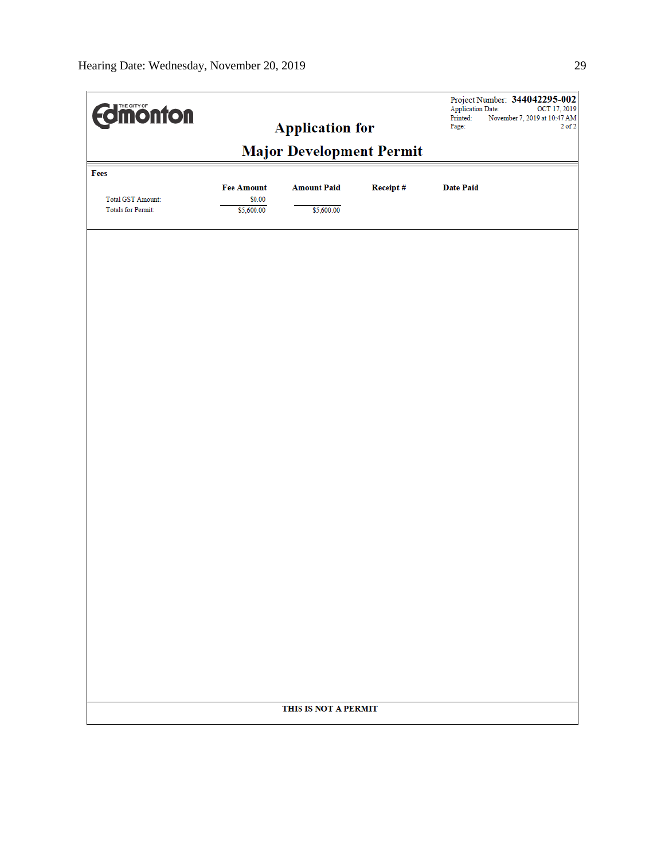| <b>Edinonton</b>                                |                                           | <b>Application for</b>           | Project Number: 344042295-002<br><b>Application Date:</b><br>OCT 17, 2019<br>Printed:<br>November 7, 2019 at 10:47 AM<br>Page:<br>$2$ of $2$ |                  |  |  |  |  |  |
|-------------------------------------------------|-------------------------------------------|----------------------------------|----------------------------------------------------------------------------------------------------------------------------------------------|------------------|--|--|--|--|--|
| <b>Major Development Permit</b>                 |                                           |                                  |                                                                                                                                              |                  |  |  |  |  |  |
| Fees<br>Total GST Amount:<br>Totals for Permit: | <b>Fee Amount</b><br>\$0.00<br>\$5,600.00 | <b>Amount Paid</b><br>\$5,600.00 | Receipt#                                                                                                                                     | <b>Date Paid</b> |  |  |  |  |  |
|                                                 |                                           |                                  |                                                                                                                                              |                  |  |  |  |  |  |
|                                                 |                                           |                                  |                                                                                                                                              |                  |  |  |  |  |  |
|                                                 |                                           |                                  |                                                                                                                                              |                  |  |  |  |  |  |
|                                                 |                                           |                                  |                                                                                                                                              |                  |  |  |  |  |  |
|                                                 |                                           |                                  |                                                                                                                                              |                  |  |  |  |  |  |
|                                                 |                                           |                                  |                                                                                                                                              |                  |  |  |  |  |  |
|                                                 |                                           |                                  |                                                                                                                                              |                  |  |  |  |  |  |
|                                                 |                                           | THIS IS NOT A PERMIT             |                                                                                                                                              |                  |  |  |  |  |  |
|                                                 |                                           |                                  |                                                                                                                                              |                  |  |  |  |  |  |